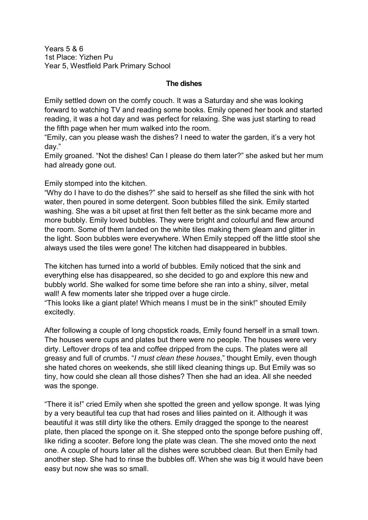Years 5 & 6 1st Place: Yizhen Pu Year 5, Westfield Park Primary School

## **The dishes**

Emily settled down on the comfy couch. It was a Saturday and she was looking forward to watching TV and reading some books. Emily opened her book and started reading, it was a hot day and was perfect for relaxing. She was just starting to read the fifth page when her mum walked into the room.

"Emily, can you please wash the dishes? I need to water the garden, it's a very hot day."

Emily groaned. "Not the dishes! Can I please do them later?" she asked but her mum had already gone out.

Emily stomped into the kitchen.

"Why do I have to do the dishes?" she said to herself as she filled the sink with hot water, then poured in some detergent. Soon bubbles filled the sink. Emily started washing. She was a bit upset at first then felt better as the sink became more and more bubbly. Emily loved bubbles. They were bright and colourful and flew around the room. Some of them landed on the white tiles making them gleam and glitter in the light. Soon bubbles were everywhere. When Emily stepped off the little stool she always used the tiles were gone! The kitchen had disappeared in bubbles.

The kitchen has turned into a world of bubbles. Emily noticed that the sink and everything else has disappeared, so she decided to go and explore this new and bubbly world. She walked for some time before she ran into a shiny, silver, metal wall! A few moments later she tripped over a huge circle.

"This looks like a giant plate! Which means I must be in the sink!" shouted Emily excitedly.

After following a couple of long chopstick roads, Emily found herself in a small town. The houses were cups and plates but there were no people. The houses were very dirty. Leftover drops of tea and coffee dripped from the cups. The plates were all greasy and full of crumbs. "*I must clean these houses*," thought Emily, even though she hated chores on weekends, she still liked cleaning things up. But Emily was so tiny, how could she clean all those dishes? Then she had an idea. All she needed was the sponge.

"There it is!" cried Emily when she spotted the green and yellow sponge. It was lying by a very beautiful tea cup that had roses and lilies painted on it. Although it was beautiful it was still dirty like the others. Emily dragged the sponge to the nearest plate, then placed the sponge on it. She stepped onto the sponge before pushing off, like riding a scooter. Before long the plate was clean. The she moved onto the next one. A couple of hours later all the dishes were scrubbed clean. But then Emily had another step. She had to rinse the bubbles off. When she was big it would have been easy but now she was so small.